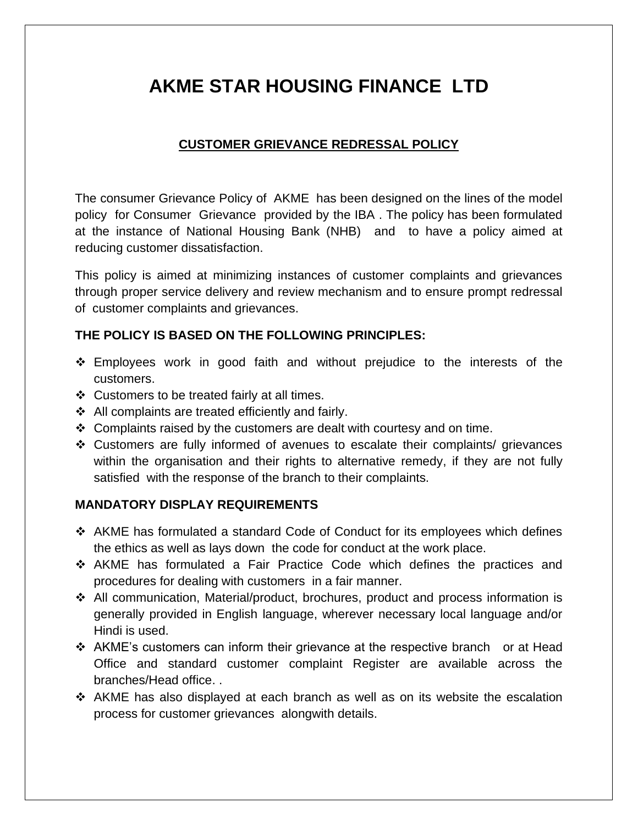# **AKME STAR HOUSING FINANCE LTD**

## **CUSTOMER GRIEVANCE REDRESSAL POLICY**

The consumer Grievance Policy of AKME has been designed on the lines of the model policy for Consumer Grievance provided by the IBA . The policy has been formulated at the instance of National Housing Bank (NHB) and to have a policy aimed at reducing customer dissatisfaction.

This policy is aimed at minimizing instances of customer complaints and grievances through proper service delivery and review mechanism and to ensure prompt redressal of customer complaints and grievances.

## **THE POLICY IS BASED ON THE FOLLOWING PRINCIPLES:**

- ❖ Employees work in good faith and without prejudice to the interests of the customers.
- ❖ Customers to be treated fairly at all times.
- ❖ All complaints are treated efficiently and fairly.
- $\div$  Complaints raised by the customers are dealt with courtesy and on time.
- ❖ Customers are fully informed of avenues to escalate their complaints/ grievances within the organisation and their rights to alternative remedy, if they are not fully satisfied with the response of the branch to their complaints.

## **MANDATORY DISPLAY REQUIREMENTS**

- ❖ AKME has formulated a standard Code of Conduct for its employees which defines the ethics as well as lays down the code for conduct at the work place.
- ❖ AKME has formulated a Fair Practice Code which defines the practices and procedures for dealing with customers in a fair manner.
- ❖ All communication, Material/product, brochures, product and process information is generally provided in English language, wherever necessary local language and/or Hindi is used.
- ❖ AKME's customers can inform their grievance at the respective branch or at Head Office and standard customer complaint Register are available across the branches/Head office. .
- ❖ AKME has also displayed at each branch as well as on its website the escalation process for customer grievances alongwith details.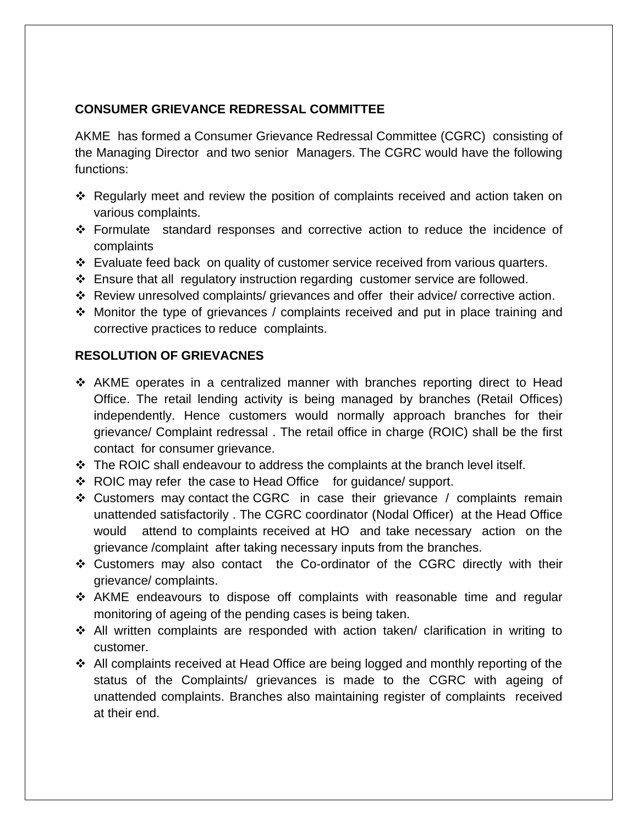#### **CONSUMER GRIEVANCE REDRESSAL COMMITTEE**

AKME has formed a Consumer Grievance Redressal Committee (CGRC) consisting of the Managing Director and two senior Managers. The CGRC would have the following functions:

- ❖ Regularly meet and review the position of complaints received and action taken on various complaints.
- ❖ Formulate standard responses and corrective action to reduce the incidence of complaints
- ❖ Evaluate feed back on quality of customer service received from various quarters.
- $\div$  Ensure that all regulatory instruction regarding customer service are followed.
- ❖ Review unresolved complaints/ grievances and offer their advice/ corrective action.
- ❖ Monitor the type of grievances / complaints received and put in place training and corrective practices to reduce complaints.

#### **RESOLUTION OF GRIEVACNES**

- ❖ AKME operates in a centralized manner with branches reporting direct to Head Office. The retail lending activity is being managed by branches (Retail Offices) independently. Hence customers would normally approach branches for their grievance/ Complaint redressal . The retail office in charge (ROIC) shall be the first contact for consumer grievance.
- ❖ The ROIC shall endeavour to address the complaints at the branch level itself.
- ❖ ROIC may refer the case to Head Office for guidance/ support.
- ❖ Customers may contact the CGRC in case their grievance / complaints remain unattended satisfactorily . The CGRC coordinator (Nodal Officer) at the Head Office would attend to complaints received at HO and take necessary action on the grievance /complaint after taking necessary inputs from the branches.
- ❖ Customers may also contact the Co-ordinator of the CGRC directly with their grievance/ complaints.
- ❖ AKME endeavours to dispose off complaints with reasonable time and regular monitoring of ageing of the pending cases is being taken.
- ❖ All written complaints are responded with action taken/ clarification in writing to customer.
- ❖ All complaints received at Head Office are being logged and monthly reporting of the status of the Complaints/ grievances is made to the CGRC with ageing of unattended complaints. Branches also maintaining register of complaints received at their end.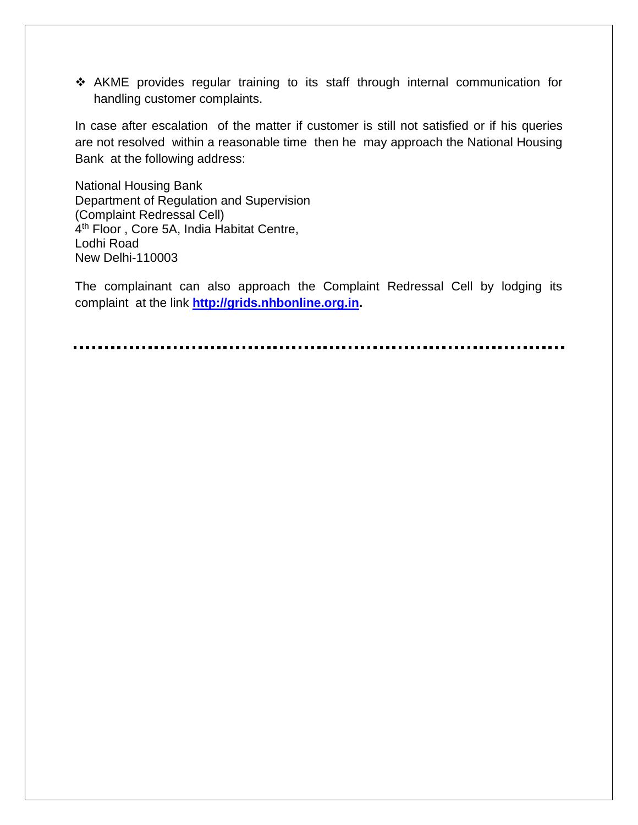❖ AKME provides regular training to its staff through internal communication for handling customer complaints.

In case after escalation of the matter if customer is still not satisfied or if his queries are not resolved within a reasonable time then he may approach the National Housing Bank at the following address:

National Housing Bank Department of Regulation and Supervision (Complaint Redressal Cell) 4<sup>th</sup> Floor, Core 5A, India Habitat Centre, Lodhi Road New Delhi-110003

The complainant can also approach the Complaint Redressal Cell by lodging its complaint at the link **[http://grids.nhbonline.org.in.](http://grids.nhbonline.org.in/)**